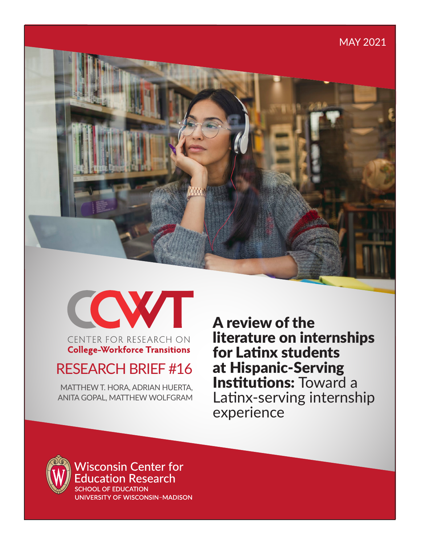# MAY 2021 中心

COWT CENTER FOR RESEARCH ON

# **College-Workforce Transitions**

# RESEARCH BRIEF #16

MATTHEW T. HORA, ADRIAN HUERTA, ANITA GOPAL, MATTHEW WOLFGRAM A review of the literature on internships for Latinx students at Hispanic-Serving Institutions: Toward a Latinx-serving internship experience



**Wisconsin Center for** ducation Research **SCHOOL OF EDUCATION** 

UNIVERSITY OF WISCONSIN-MADISON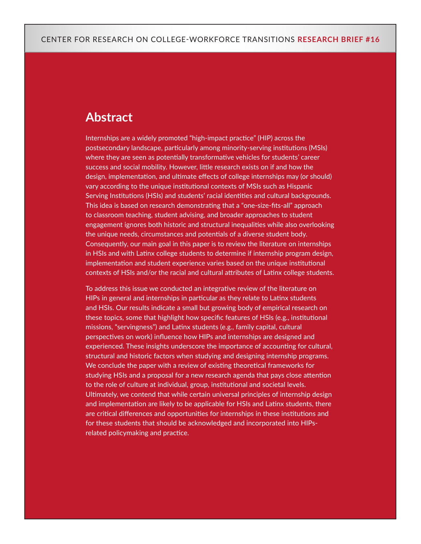# **Abstract**

Internships are a widely promoted "high-impact practice" (HIP) across the postsecondary landscape, particularly among minority-serving institutions (MSIs) where they are seen as potentially transformative vehicles for students' career success and social mobility. However, little research exists on if and how the design, implementation, and ultimate effects of college internships may (or should) vary according to the unique institutional contexts of MSIs such as Hispanic Serving Institutions (HSIs) and students' racial identities and cultural backgrounds. This idea is based on research demonstrating that a "one-size-fits-all" approach to classroom teaching, student advising, and broader approaches to student engagement ignores both historic and structural inequalities while also overlooking the unique needs, circumstances and potentials of a diverse student body. Consequently, our main goal in this paper is to review the literature on internships in HSIs and with Latinx college students to determine if internship program design, implementation and student experience varies based on the unique institutional contexts of HSIs and/or the racial and cultural attributes of Latinx college students.

To address this issue we conducted an integrative review of the literature on HIPs in general and internships in particular as they relate to Latinx students and HSIs. Our results indicate a small but growing body of empirical research on these topics, some that highlight how specific features of HSIs (e.g., institutional missions, "servingness") and Latinx students (e.g., family capital, cultural perspectives on work) influence how HIPs and internships are designed and experienced. These insights underscore the importance of accounting for cultural, structural and historic factors when studying and designing internship programs. We conclude the paper with a review of existing theoretical frameworks for studying HSIs and a proposal for a new research agenda that pays close attention to the role of culture at individual, group, institutional and societal levels. Ultimately, we contend that while certain universal principles of internship design and implementation are likely to be applicable for HSIs and Latinx students, there are critical differences and opportunities for internships in these institutions and for these students that should be acknowledged and incorporated into HIPsrelated policymaking and practice.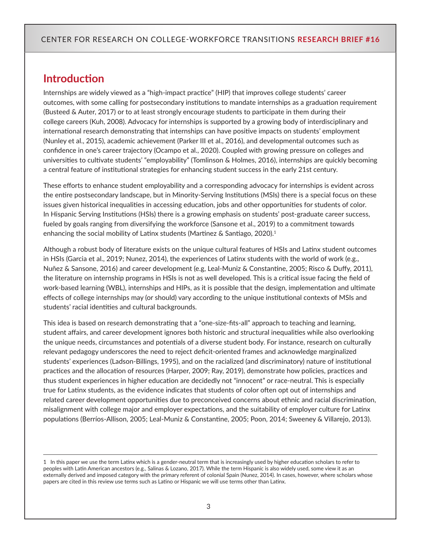### **Introduction**

Internships are widely viewed as a "high-impact practice" (HIP) that improves college students' career outcomes, with some calling for postsecondary institutions to mandate internships as a graduation requirement (Busteed & Auter, 2017) or to at least strongly encourage students to participate in them during their college careers (Kuh, 2008). Advocacy for internships is supported by a growing body of interdisciplinary and international research demonstrating that internships can have positive impacts on students' employment (Nunley et al., 2015), academic achievement (Parker III et al., 2016), and developmental outcomes such as confidence in one's career trajectory (Ocampo et al., 2020). Coupled with growing pressure on colleges and universities to cultivate students' "employability" (Tomlinson & Holmes, 2016), internships are quickly becoming a central feature of institutional strategies for enhancing student success in the early 21st century.

These efforts to enhance student employability and a corresponding advocacy for internships is evident across the entire postsecondary landscape, but in Minority-Serving Institutions (MSIs) there is a special focus on these issues given historical inequalities in accessing education, jobs and other opportunities for students of color. In Hispanic Serving Institutions (HSIs) there is a growing emphasis on students' post-graduate career success, fueled by goals ranging from diversifying the workforce (Sansone et al., 2019) to a commitment towards enhancing the social mobility of Latinx students (Martinez & Santiago, 2020).<sup>1</sup>

Although a robust body of literature exists on the unique cultural features of HSIs and Latinx student outcomes in HSIs (Garcia et al., 2019; Nunez, 2014), the experiences of Latinx students with the world of work (e.g., Nuñez & Sansone, 2016) and career development (e.g, Leal-Muniz & Constantine, 2005; Risco & Duffy, 2011), the literature on internship programs in HSIs is not as well developed. This is a critical issue facing the field of work-based learning (WBL), internships and HIPs, as it is possible that the design, implementation and ultimate effects of college internships may (or should) vary according to the unique institutional contexts of MSIs and students' racial identities and cultural backgrounds.

This idea is based on research demonstrating that a "one-size-fits-all" approach to teaching and learning, student affairs, and career development ignores both historic and structural inequalities while also overlooking the unique needs, circumstances and potentials of a diverse student body. For instance, research on culturally relevant pedagogy underscores the need to reject deficit-oriented frames and acknowledge marginalized students' experiences (Ladson-Billings, 1995), and on the racialized (and discriminatory) nature of institutional practices and the allocation of resources (Harper, 2009; Ray, 2019), demonstrate how policies, practices and thus student experiences in higher education are decidedly not "innocent" or race-neutral. This is especially true for Latinx students, as the evidence indicates that students of color often opt out of internships and related career development opportunities due to preconceived concerns about ethnic and racial discrimination, misalignment with college major and employer expectations, and the suitability of employer culture for Latinx populations (Berríos-Allison, 2005; Leal-Muniz & Constantine, 2005; Poon, 2014; Sweeney & Villarejo, 2013).

<sup>1</sup> In this paper we use the term Latinx which is a gender-neutral term that is increasingly used by higher education scholars to refer to peoples with Latin American ancestors (e.g., Salinas & Lozano, 2017). While the term Hispanic is also widely used, some view it as an externally derived and imposed category with the primary referent of colonial Spain (Nunez, 2014). In cases, however, where scholars whose papers are cited in this review use terms such as Latino or Hispanic we will use terms other than Latinx.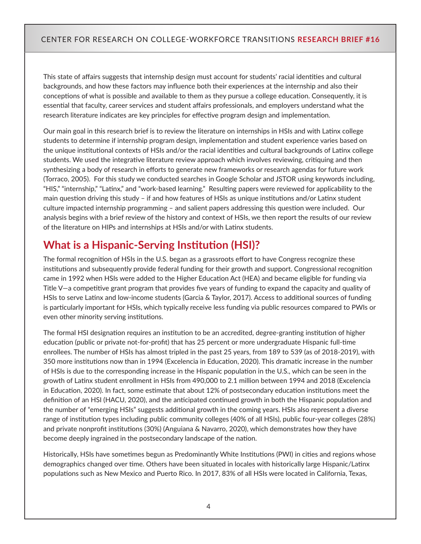This state of affairs suggests that internship design must account for students' racial identities and cultural backgrounds, and how these factors may influence both their experiences at the internship and also their conceptions of what is possible and available to them as they pursue a college education. Consequently, it is essential that faculty, career services and student affairs professionals, and employers understand what the research literature indicates are key principles for effective program design and implementation.

Our main goal in this research brief is to review the literature on internships in HSIs and with Latinx college students to determine if internship program design, implementation and student experience varies based on the unique institutional contexts of HSIs and/or the racial identities and cultural backgrounds of Latinx college students. We used the integrative literature review approach which involves reviewing, critiquing and then synthesizing a body of research in efforts to generate new frameworks or research agendas for future work (Torraco, 2005). For this study we conducted searches in Google Scholar and JSTOR using keywords including, "HIS," "internship," "Latinx," and "work-based learning." Resulting papers were reviewed for applicability to the main question driving this study – if and how features of HSIs as unique institutions and/or Latinx student culture impacted internship programming – and salient papers addressing this question were included. Our analysis begins with a brief review of the history and context of HSIs, we then report the results of our review of the literature on HIPs and internships at HSIs and/or with Latinx students.

# **What is a Hispanic-Serving Institution (HSI)?**

The formal recognition of HSIs in the U.S. began as a grassroots effort to have Congress recognize these institutions and subsequently provide federal funding for their growth and support. Congressional recognition came in 1992 when HSIs were added to the Higher Education Act (HEA) and became eligible for funding via Title V—a competitive grant program that provides five years of funding to expand the capacity and quality of HSIs to serve Latinx and low-income students (Garcia & Taylor, 2017). Access to additional sources of funding is particularly important for HSIs, which typically receive less funding via public resources compared to PWIs or even other minority serving institutions.

The formal HSI designation requires an institution to be an accredited, degree-granting institution of higher education (public or private not-for-profit) that has 25 percent or more undergraduate Hispanic full-time enrollees. The number of HSIs has almost tripled in the past 25 years, from 189 to 539 (as of 2018-2019), with 350 more institutions now than in 1994 (Excelencia in Education, 2020). This dramatic increase in the number of HSIs is due to the corresponding increase in the Hispanic population in the U.S., which can be seen in the growth of Latinx student enrollment in HSIs from 490,000 to 2.1 million between 1994 and 2018 (Excelencia in Education, 2020). In fact, some estimate that about 12% of postsecondary education institutions meet the definition of an HSI (HACU, 2020), and the anticipated continued growth in both the Hispanic population and the number of "emerging HSIs" suggests additional growth in the coming years. HSIs also represent a diverse range of institution types including public community colleges (40% of all HSIs), public four-year colleges (28%) and private nonprofit institutions (30%) (Anguiana & Navarro, 2020), which demonstrates how they have become deeply ingrained in the postsecondary landscape of the nation.

Historically, HSIs have sometimes begun as Predominantly White Institutions (PWI) in cities and regions whose demographics changed over time. Others have been situated in locales with historically large Hispanic/Latinx populations such as New Mexico and Puerto Rico. In 2017, 83% of all HSIs were located in California, Texas,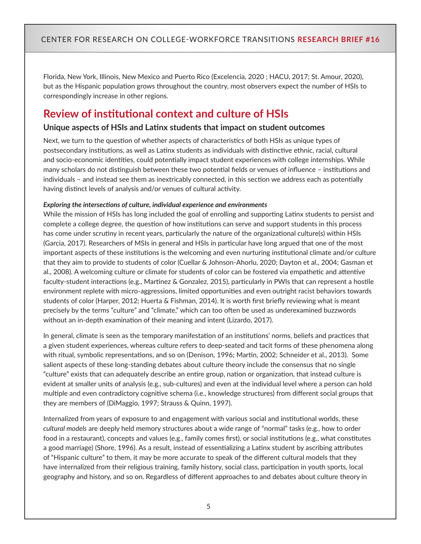Florida, New York, Illinois, New Mexico and Puerto Rico (Excelencia, 2020 ; HACU, 2017; St. Amour, 2020), but as the Hispanic population grows throughout the country, most observers expect the number of HSIs to correspondingly increase in other regions.

# **Review of institutional context and culture of HSIs**

#### **Unique aspects of HSIs and Latinx students that impact on student outcomes**

Next, we turn to the question of whether aspects of characteristics of both HSIs as unique types of postsecondary institutions, as well as Latinx students as individuals with distinctive ethnic, racial, cultural and socio-economic identities, could potentially impact student experiences with college internships. While many scholars do not distinguish between these two potential fields or venues of influence – institutions and individuals – and instead see them as inextricably connected, in this section we address each as potentially having distinct levels of analysis and/or venues of cultural activity.

#### *Exploring the intersections of culture, individual experience and environments*

While the mission of HSIs has long included the goal of enrolling and supporting Latinx students to persist and complete a college degree, the question of how institutions can serve and support students in this process has come under scrutiny in recent years, particularly the nature of the organizational culture(s) within HSIs (Garcia, 2017). Researchers of MSIs in general and HSIs in particular have long argued that one of the most important aspects of these institutions is the welcoming and even nurturing institutional climate and/or culture that they aim to provide to students of color (Cuellar & Johnson-Ahorlu, 2020; Dayton et al., 2004; Gasman et al., 2008). A welcoming culture or climate for students of color can be fostered via empathetic and attentive faculty-student interactions (e.g., Martinez & Gonzalez, 2015), particularly in PWIs that can represent a hostile environment replete with micro-aggressions, limited opportunities and even outright racist behaviors towards students of color (Harper, 2012; Huerta & Fishman, 2014). It is worth first briefly reviewing what is meant precisely by the terms "culture" and "climate," which can too often be used as underexamined buzzwords without an in-depth examination of their meaning and intent (Lizardo, 2017).

In general, climate is seen as the temporary manifestation of an institutions' norms, beliefs and practices that a given student experiences, whereas culture refers to deep-seated and tacit forms of these phenomena along with ritual, symbolic representations, and so on (Denison, 1996; Martin, 2002; Schneider et al., 2013). Some salient aspects of these long-standing debates about culture theory include the consensus that no single "culture" exists that can adequately describe an entire group, nation or organization, that instead culture is evident at smaller units of analysis (e.g., sub-cultures) and even at the individual level where a person can hold multiple and even contradictory cognitive schema (i.e., knowledge structures) from different social groups that they are members of (DiMaggio, 1997; Strauss & Quinn, 1997).

Internalized from years of exposure to and engagement with various social and institutional worlds, these *cultural models* are deeply held memory structures about a wide range of "normal" tasks (e.g., how to order food in a restaurant), concepts and values (e.g., family comes first), or social institutions (e.g., what constitutes a good marriage) (Shore, 1996). As a result, instead of essentializing a Latinx student by ascribing attributes of "Hispanic culture" to them, it may be more accurate to speak of the different cultural models that they have internalized from their religious training, family history, social class, participation in youth sports, local geography and history, and so on. Regardless of different approaches to and debates about culture theory in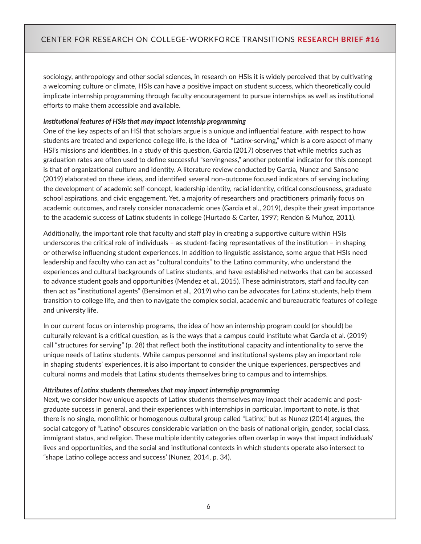sociology, anthropology and other social sciences, in research on HSIs it is widely perceived that by cultivating a welcoming culture or climate, HSIs can have a positive impact on student success, which theoretically could implicate internship programming through faculty encouragement to pursue internships as well as institutional efforts to make them accessible and available.

#### *Institutional features of HSIs that may impact internship programming*

One of the key aspects of an HSI that scholars argue is a unique and influential feature, with respect to how students are treated and experience college life, is the idea of "Latinx-serving," which is a core aspect of many HSI's missions and identities. In a study of this question, Garcia (2017) observes that while metrics such as graduation rates are often used to define successful "servingness," another potential indicator for this concept is that of organizational culture and identity. A literature review conducted by Garcia, Nunez and Sansone (2019) elaborated on these ideas, and identified several non-outcome focused indicators of serving including the development of academic self-concept, leadership identity, racial identity, critical consciousness, graduate school aspirations, and civic engagement. Yet, a majority of researchers and practitioners primarily focus on academic outcomes, and rarely consider nonacademic ones (Garcia et al., 2019), despite their great importance to the academic success of Latinx students in college (Hurtado & Carter, 1997; Rendón & Muñoz, 2011).

Additionally, the important role that faculty and staff play in creating a supportive culture within HSIs underscores the critical role of individuals – as student-facing representatives of the institution – in shaping or otherwise influencing student experiences. In addition to linguistic assistance, some argue that HSIs need leadership and faculty who can act as "cultural conduits" to the Latino community, who understand the experiences and cultural backgrounds of Latinx students, and have established networks that can be accessed to advance student goals and opportunities (Mendez et al., 2015). These administrators, staff and faculty can then act as "institutional agents" (Bensimon et al., 2019) who can be advocates for Latinx students, help them transition to college life, and then to navigate the complex social, academic and bureaucratic features of college and university life.

In our current focus on internship programs, the idea of how an internship program could (or should) be culturally relevant is a critical question, as is the ways that a campus could institute what Garcia et al. (2019) call "structures for serving" (p. 28) that reflect both the institutional capacity and intentionality to serve the unique needs of Latinx students. While campus personnel and institutional systems play an important role in shaping students' experiences, it is also important to consider the unique experiences, perspectives and cultural norms and models that Latinx students themselves bring to campus and to internships.

#### *Attributes of Latinx students themselves that may impact internship programming*

Next, we consider how unique aspects of Latinx students themselves may impact their academic and postgraduate success in general, and their experiences with internships in particular. Important to note, is that there is no single, monolithic or homogenous cultural group called "Latinx," but as Nunez (2014) argues, the social category of "Latino" obscures considerable variation on the basis of national origin, gender, social class, immigrant status, and religion. These multiple identity categories often overlap in ways that impact individuals' lives and opportunities, and the social and institutional contexts in which students operate also intersect to "shape Latino college access and success' (Nunez, 2014, p. 34).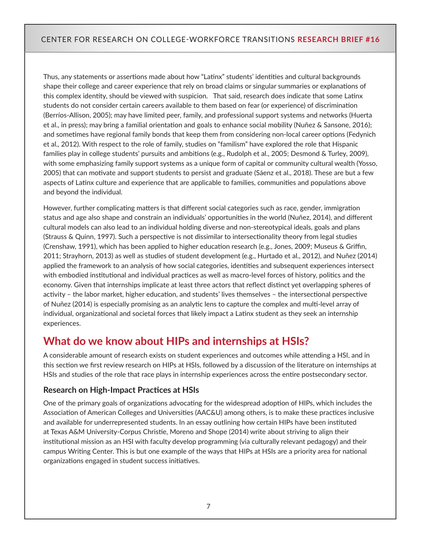Thus, any statements or assertions made about how "Latinx" students' identities and cultural backgrounds shape their college and career experience that rely on broad claims or singular summaries or explanations of this complex identity, should be viewed with suspicion. That said, research does indicate that some Latinx students do not consider certain careers available to them based on fear (or experience) of discrimination (Berríos-Allison, 2005); may have limited peer, family, and professional support systems and networks (Huerta et al., in press); may bring a familial orientation and goals to enhance social mobility (Nuñez & Sansone, 2016); and sometimes have regional family bonds that keep them from considering non-local career options (Fedynich et al., 2012). With respect to the role of family, studies on "familism" have explored the role that Hispanic families play in college students' pursuits and ambitions (e.g., Rudolph et al., 2005; Desmond & Turley, 2009), with some emphasizing family support systems as a unique form of capital or community cultural wealth (Yosso, 2005) that can motivate and support students to persist and graduate (Sáenz et al., 2018). These are but a few aspects of Latinx culture and experience that are applicable to families, communities and populations above and beyond the individual.

However, further complicating matters is that different social categories such as race, gender, immigration status and age also shape and constrain an individuals' opportunities in the world (Nuñez, 2014), and different cultural models can also lead to an individual holding diverse and non-stereotypical ideals, goals and plans (Strauss & Quinn, 1997). Such a perspective is not dissimilar to intersectionality theory from legal studies (Crenshaw, 1991), which has been applied to higher education research (e.g., Jones, 2009; Museus & Griffin, 2011; Strayhorn, 2013) as well as studies of student development (e.g., Hurtado et al., 2012), and Nuñez (2014) applied the framework to an analysis of how social categories, identities and subsequent experiences intersect with embodied institutional and individual practices as well as macro-level forces of history, politics and the economy. Given that internships implicate at least three actors that reflect distinct yet overlapping spheres of activity – the labor market, higher education, and students' lives themselves – the intersectional perspective of Nuñez (2014) is especially promising as an analytic lens to capture the complex and multi-level array of individual, organizational and societal forces that likely impact a Latinx student as they seek an internship experiences.

# **What do we know about HIPs and internships at HSIs?**

A considerable amount of research exists on student experiences and outcomes while attending a HSI, and in this section we first review research on HIPs at HSIs, followed by a discussion of the literature on internships at HSIs and studies of the role that race plays in internship experiences across the entire postsecondary sector.

#### **Research on High-Impact Practices at HSIs**

One of the primary goals of organizations advocating for the widespread adoption of HIPs, which includes the Association of American Colleges and Universities (AAC&U) among others, is to make these practices inclusive and available for underrepresented students. In an essay outlining how certain HIPs have been instituted at Texas A&M University-Corpus Christie, Moreno and Shope (2014) write about striving to align their institutional mission as an HSI with faculty develop programming (via culturally relevant pedagogy) and their campus Writing Center. This is but one example of the ways that HIPs at HSIs are a priority area for national organizations engaged in student success initiatives.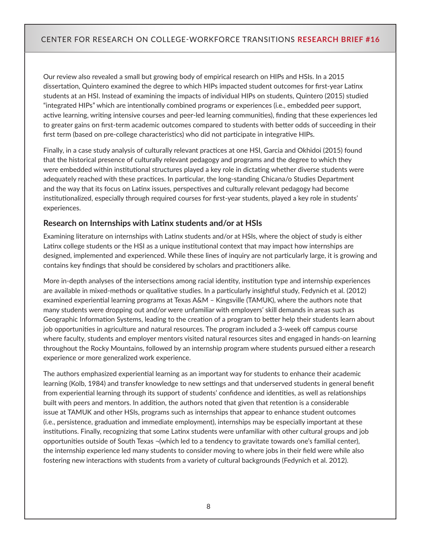Our review also revealed a small but growing body of empirical research on HIPs and HSIs. In a 2015 dissertation, Quintero examined the degree to which HIPs impacted student outcomes for first-year Latinx students at an HSI. Instead of examining the impacts of individual HIPs on students, Quintero (2015) studied "integrated HIPs" which are intentionally combined programs or experiences (i.e., embedded peer support, active learning, writing intensive courses and peer-led learning communities), finding that these experiences led to greater gains on first-term academic outcomes compared to students with better odds of succeeding in their first term (based on pre-college characteristics) who did not participate in integrative HIPs.

Finally, in a case study analysis of culturally relevant practices at one HSI, Garcia and Okhidoi (2015) found that the historical presence of culturally relevant pedagogy and programs and the degree to which they were embedded within institutional structures played a key role in dictating whether diverse students were adequately reached with these practices. In particular, the long-standing Chicana/o Studies Department and the way that its focus on Latinx issues, perspectives and culturally relevant pedagogy had become institutionalized, especially through required courses for first-year students, played a key role in students' experiences.

#### **Research on Internships with Latinx students and/or at HSIs**

Examining literature on internships with Latinx students and/or at HSIs, where the object of study is either Latinx college students or the HSI as a unique institutional context that may impact how internships are designed, implemented and experienced. While these lines of inquiry are not particularly large, it is growing and contains key findings that should be considered by scholars and practitioners alike.

More in-depth analyses of the intersections among racial identity, institution type and internship experiences are available in mixed-methods or qualitative studies. In a particularly insightful study, Fedynich et al. (2012) examined experiential learning programs at Texas A&M – Kingsville (TAMUK), where the authors note that many students were dropping out and/or were unfamiliar with employers' skill demands in areas such as Geographic Information Systems, leading to the creation of a program to better help their students learn about job opportunities in agriculture and natural resources. The program included a 3-week off campus course where faculty, students and employer mentors visited natural resources sites and engaged in hands-on learning throughout the Rocky Mountains, followed by an internship program where students pursued either a research experience or more generalized work experience.

The authors emphasized experiential learning as an important way for students to enhance their academic learning (Kolb, 1984) and transfer knowledge to new settings and that underserved students in general benefit from experiential learning through its support of students' confidence and identities, as well as relationships built with peers and mentors. In addition, the authors noted that given that retention is a considerable issue at TAMUK and other HSIs, programs such as internships that appear to enhance student outcomes (i.e., persistence, graduation and immediate employment), internships may be especially important at these institutions. Finally, recognizing that some Latinx students were unfamiliar with other cultural groups and job opportunities outside of South Texas ¬(which led to a tendency to gravitate towards one's familial center), the internship experience led many students to consider moving to where jobs in their field were while also fostering new interactions with students from a variety of cultural backgrounds (Fedynich et al. 2012).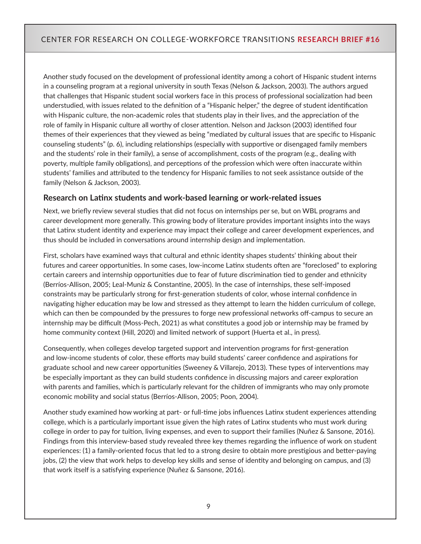Another study focused on the development of professional identity among a cohort of Hispanic student interns in a counseling program at a regional university in south Texas (Nelson & Jackson, 2003). The authors argued that challenges that Hispanic student social workers face in this process of professional socialization had been understudied, with issues related to the definition of a "Hispanic helper," the degree of student identification with Hispanic culture, the non-academic roles that students play in their lives, and the appreciation of the role of family in Hispanic culture all worthy of closer attention. Nelson and Jackson (2003) identified four themes of their experiences that they viewed as being "mediated by cultural issues that are specific to Hispanic counseling students" (p. 6), including relationships (especially with supportive or disengaged family members and the students' role in their family), a sense of accomplishment, costs of the program (e.g., dealing with poverty, multiple family obligations), and perceptions of the profession which were often inaccurate within students' families and attributed to the tendency for Hispanic families to not seek assistance outside of the family (Nelson & Jackson, 2003).

#### **Research on Latinx students and work-based learning or work-related issues**

Next, we briefly review several studies that did not focus on internships per se, but on WBL programs and career development more generally. This growing body of literature provides important insights into the ways that Latinx student identity and experience may impact their college and career development experiences, and thus should be included in conversations around internship design and implementation.

First, scholars have examined ways that cultural and ethnic identity shapes students' thinking about their futures and career opportunities. In some cases, low-income Latinx students often are "foreclosed" to exploring certain careers and internship opportunities due to fear of future discrimination tied to gender and ethnicity (Berríos-Allison, 2005; Leal-Muniz & Constantine, 2005). In the case of internships, these self-imposed constraints may be particularly strong for first-generation students of color, whose internal confidence in navigating higher education may be low and stressed as they attempt to learn the hidden curriculum of college, which can then be compounded by the pressures to forge new professional networks off-campus to secure an internship may be difficult (Moss-Pech, 2021) as what constitutes a good job or internship may be framed by home community context (Hill, 2020) and limited network of support (Huerta et al., in press).

Consequently, when colleges develop targeted support and intervention programs for first-generation and low-income students of color, these efforts may build students' career confidence and aspirations for graduate school and new career opportunities (Sweeney & Villarejo, 2013). These types of interventions may be especially important as they can build students confidence in discussing majors and career exploration with parents and families, which is particularly relevant for the children of immigrants who may only promote economic mobility and social status (Berríos-Allison, 2005; Poon, 2004).

Another study examined how working at part- or full-time jobs influences Latinx student experiences attending college, which is a particularly important issue given the high rates of Latinx students who must work during college in order to pay for tuition, living expenses, and even to support their families (Nuñez & Sansone, 2016). Findings from this interview-based study revealed three key themes regarding the influence of work on student experiences: (1) a family-oriented focus that led to a strong desire to obtain more prestigious and better-paying jobs, (2) the view that work helps to develop key skills and sense of identity and belonging on campus, and (3) that work itself is a satisfying experience (Nuñez & Sansone, 2016).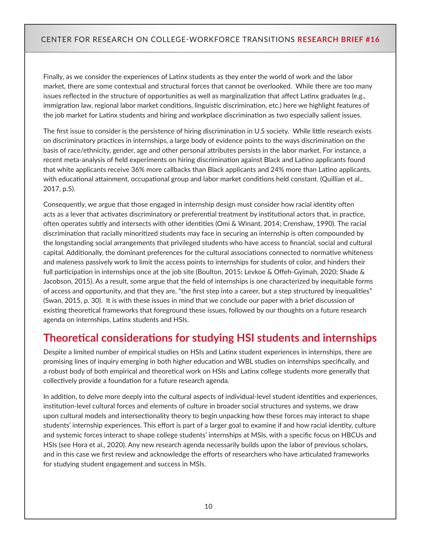Finally, as we consider the experiences of Latinx students as they enter the world of work and the labor market, there are some contextual and structural forces that cannot be overlooked. While there are too many issues reflected in the structure of opportunities as well as marginalization that affect Latinx graduates (e.g., immigration law, regional labor market conditions, linguistic discrimination, etc.) here we highlight features of the job market for Latinx students and hiring and workplace discrimination as two especially salient issues.

The first issue to consider is the persistence of hiring discrimination in U.S society. While little research exists on discriminatory practices in internships, a large body of evidence points to the ways discrimination on the basis of race/ethnicity, gender, age and other personal attributes persists in the labor market. For instance, a recent meta-analysis of field experiments on hiring discrimination against Black and Latino applicants found that white applicants receive 36% more callbacks than Black applicants and 24% more than Latino applicants, with educational attainment, occupational group and labor market conditions held constant. (Quillian et al., 2017, p.5).

Consequently, we argue that those engaged in internship design must consider how racial identity often acts as a lever that activates discriminatory or preferential treatment by institutional actors that, in practice, often operates subtly and intersects with other identities (Omi & Winant, 2014; Crenshaw, 1990). The racial discrimination that racially minoritized students may face in securing an internship is often compounded by the longstanding social arrangements that privileged students who have access to financial, social and cultural capital. Additionally, the dominant preferences for the cultural associations connected to normative whiteness and maleness passively work to limit the access points to internships for students of color, and hinders their full participation in internships once at the job site (Boulton, 2015; Levkoe & Offeh-Gyimah, 2020; Shade & Jacobson, 2015). As a result, some argue that the field of internships is one characterized by inequitable forms of access and opportunity, and that they are, "the first step into a career, but a step structured by inequalities" (Swan, 2015, p. 30). It is with these issues in mind that we conclude our paper with a brief discussion of existing theoretical frameworks that foreground these issues, followed by our thoughts on a future research agenda on internships, Latinx students and HSIs.

# **Theoretical considerations for studying HSI students and internships**

Despite a limited number of empirical studies on HSIs and Latinx student experiences in internships, there are promising lines of inquiry emerging in both higher education and WBL studies on internships specifically, and a robust body of both empirical and theoretical work on HSIs and Latinx college students more generally that collectively provide a foundation for a future research agenda.

In addition, to delve more deeply into the cultural aspects of individual-level student identities and experiences, institution-level cultural forces and elements of culture in broader social structures and systems, we draw upon cultural models and intersectionality theory to begin unpacking how these forces may interact to shape students' internship experiences. This effort is part of a larger goal to examine if and how racial identity, culture and systemic forces interact to shape college students' internships at MSIs, with a specific focus on HBCUs and HSIs (see Hora et al., 2020). Any new research agenda necessarily builds upon the labor of previous scholars, and in this case we first review and acknowledge the efforts of researchers who have articulated frameworks for studying student engagement and success in MSIs.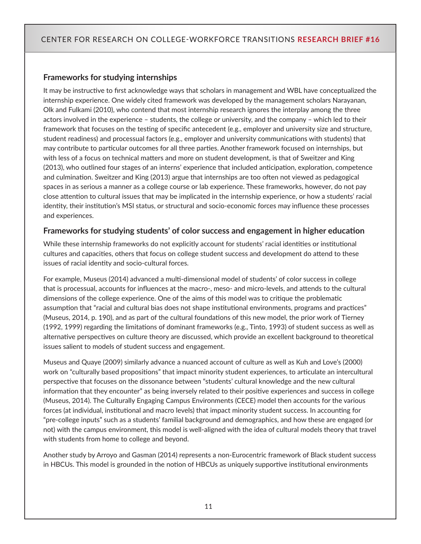#### **Frameworks for studying internships**

It may be instructive to first acknowledge ways that scholars in management and WBL have conceptualized the internship experience. One widely cited framework was developed by the management scholars Narayanan, Olk and Fulkami (2010), who contend that most internship research ignores the interplay among the three actors involved in the experience – students, the college or university, and the company – which led to their framework that focuses on the testing of specific antecedent (e.g., employer and university size and structure, student readiness) and processual factors (e.g., employer and university communications with students) that may contribute to particular outcomes for all three parties. Another framework focused on internships, but with less of a focus on technical matters and more on student development, is that of Sweitzer and King (2013), who outlined four stages of an interns' experience that included anticipation, exploration, competence and culmination. Sweitzer and King (2013) argue that internships are too often not viewed as pedagogical spaces in as serious a manner as a college course or lab experience. These frameworks, however, do not pay close attention to cultural issues that may be implicated in the internship experience, or how a students' racial identity, their institution's MSI status, or structural and socio-economic forces may influence these processes and experiences.

#### **Frameworks for studying students' of color success and engagement in higher education**

While these internship frameworks do not explicitly account for students' racial identities or institutional cultures and capacities, others that focus on college student success and development do attend to these issues of racial identity and socio-cultural forces.

For example, Museus (2014) advanced a multi-dimensional model of students' of color success in college that is processual, accounts for influences at the macro-, meso- and micro-levels, and attends to the cultural dimensions of the college experience. One of the aims of this model was to critique the problematic assumption that "racial and cultural bias does not shape institutional environments, programs and practices" (Museus, 2014, p. 190), and as part of the cultural foundations of this new model, the prior work of Tierney (1992, 1999) regarding the limitations of dominant frameworks (e.g., Tinto, 1993) of student success as well as alternative perspectives on culture theory are discussed, which provide an excellent background to theoretical issues salient to models of student success and engagement.

Museus and Quaye (2009) similarly advance a nuanced account of culture as well as Kuh and Love's (2000) work on "culturally based propositions" that impact minority student experiences, to articulate an intercultural perspective that focuses on the dissonance between "students' cultural knowledge and the new cultural information that they encounter" as being inversely related to their positive experiences and success in college (Museus, 2014). The Culturally Engaging Campus Environments (CECE) model then accounts for the various forces (at individual, institutional and macro levels) that impact minority student success. In accounting for "pre-college inputs" such as a students' familial background and demographics, and how these are engaged (or not) with the campus environment, this model is well-aligned with the idea of cultural models theory that travel with students from home to college and beyond.

Another study by Arroyo and Gasman (2014) represents a non-Eurocentric framework of Black student success in HBCUs. This model is grounded in the notion of HBCUs as uniquely supportive institutional environments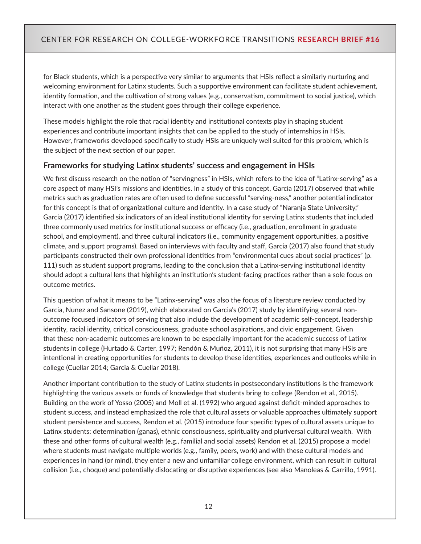for Black students, which is a perspective very similar to arguments that HSIs reflect a similarly nurturing and welcoming environment for Latinx students. Such a supportive environment can facilitate student achievement, identity formation, and the cultivation of strong values (e.g., conservatism, commitment to social justice), which interact with one another as the student goes through their college experience.

These models highlight the role that racial identity and institutional contexts play in shaping student experiences and contribute important insights that can be applied to the study of internships in HSIs. However, frameworks developed specifically to study HSIs are uniquely well suited for this problem, which is the subject of the next section of our paper.

#### **Frameworks for studying Latinx students' success and engagement in HSIs**

We first discuss research on the notion of "servingness" in HSIs, which refers to the idea of "Latinx-serving" as a core aspect of many HSI's missions and identities. In a study of this concept, Garcia (2017) observed that while metrics such as graduation rates are often used to define successful "serving-ness," another potential indicator for this concept is that of organizational culture and identity. In a case study of "Naranja State University," Garcia (2017) identified six indicators of an ideal institutional identity for serving Latinx students that included three commonly used metrics for institutional success or efficacy (i.e., graduation, enrollment in graduate school, and employment), and three cultural indicators (i.e., community engagement opportunities, a positive climate, and support programs). Based on interviews with faculty and staff, Garcia (2017) also found that study participants constructed their own professional identities from "environmental cues about social practices" (p. 111) such as student support programs, leading to the conclusion that a Latinx-serving institutional identity should adopt a cultural lens that highlights an institution's student-facing practices rather than a sole focus on outcome metrics.

This question of what it means to be "Latinx-serving" was also the focus of a literature review conducted by Garcia, Nunez and Sansone (2019), which elaborated on Garcia's (2017) study by identifying several nonoutcome focused indicators of serving that also include the development of academic self-concept, leadership identity, racial identity, critical consciousness, graduate school aspirations, and civic engagement. Given that these non-academic outcomes are known to be especially important for the academic success of Latinx students in college (Hurtado & Carter, 1997; Rendón & Muñoz, 2011), it is not surprising that many HSIs are intentional in creating opportunities for students to develop these identities, experiences and outlooks while in college (Cuellar 2014; Garcia & Cuellar 2018).

Another important contribution to the study of Latinx students in postsecondary institutions is the framework highlighting the various assets or funds of knowledge that students bring to college (Rendon et al., 2015). Building on the work of Yosso (2005) and Moll et al. (1992) who argued against deficit-minded approaches to student success, and instead emphasized the role that cultural assets or valuable approaches ultimately support student persistence and success, Rendon et al. (2015) introduce four specific types of cultural assets unique to Latinx students: determination (ganas), ethnic consciousness, spirituality and pluriversal cultural wealth. With these and other forms of cultural wealth (e.g., familial and social assets) Rendon et al. (2015) propose a model where students must navigate multiple worlds (e.g., family, peers, work) and with these cultural models and experiences in hand (or mind), they enter a new and unfamiliar college environment, which can result in cultural collision (i.e., choque) and potentially dislocating or disruptive experiences (see also Manoleas & Carrillo, 1991).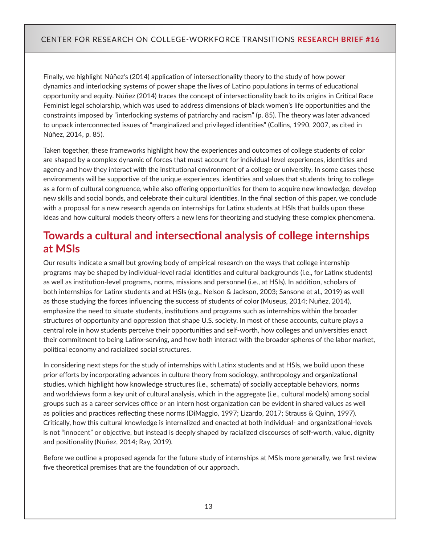Finally, we highlight Núñez's (2014) application of intersectionality theory to the study of how power dynamics and interlocking systems of power shape the lives of Latino populations in terms of educational opportunity and equity. Núñez (2014) traces the concept of intersectionality back to its origins in Critical Race Feminist legal scholarship, which was used to address dimensions of black women's life opportunities and the constraints imposed by "interlocking systems of patriarchy and racism" (p. 85). The theory was later advanced to unpack interconnected issues of "marginalized and privileged identities" (Collins, 1990, 2007, as cited in Núñez, 2014, p. 85).

Taken together, these frameworks highlight how the experiences and outcomes of college students of color are shaped by a complex dynamic of forces that must account for individual-level experiences, identities and agency and how they interact with the institutional environment of a college or university. In some cases these environments will be supportive of the unique experiences, identities and values that students bring to college as a form of cultural congruence, while also offering opportunities for them to acquire new knowledge, develop new skills and social bonds, and celebrate their cultural identities. In the final section of this paper, we conclude with a proposal for a new research agenda on internships for Latinx students at HSIs that builds upon these ideas and how cultural models theory offers a new lens for theorizing and studying these complex phenomena.

# **Towards a cultural and intersectional analysis of college internships at MSIs**

Our results indicate a small but growing body of empirical research on the ways that college internship programs may be shaped by individual-level racial identities and cultural backgrounds (i.e., for Latinx students) as well as institution-level programs, norms, missions and personnel (i.e., at HSIs). In addition, scholars of both internships for Latinx students and at HSIs (e.g., Nelson & Jackson, 2003; Sansone et al., 2019) as well as those studying the forces influencing the success of students of color (Museus, 2014; Nuñez, 2014), emphasize the need to situate students, institutions and programs such as internships within the broader structures of opportunity and oppression that shape U.S. society. In most of these accounts, culture plays a central role in how students perceive their opportunities and self-worth, how colleges and universities enact their commitment to being Latinx-serving, and how both interact with the broader spheres of the labor market, political economy and racialized social structures.

In considering next steps for the study of internships with Latinx students and at HSIs, we build upon these prior efforts by incorporating advances in culture theory from sociology, anthropology and organizational studies, which highlight how knowledge structures (i.e., schemata) of socially acceptable behaviors, norms and worldviews form a key unit of cultural analysis, which in the aggregate (i.e., cultural models) among social groups such as a career services office or an intern host organization can be evident in shared values as well as policies and practices reflecting these norms (DiMaggio, 1997; Lizardo, 2017; Strauss & Quinn, 1997). Critically, how this cultural knowledge is internalized and enacted at both individual- and organizational-levels is not "innocent" or objective, but instead is deeply shaped by racialized discourses of self-worth, value, dignity and positionality (Nuñez, 2014; Ray, 2019).

Before we outline a proposed agenda for the future study of internships at MSIs more generally, we first review five theoretical premises that are the foundation of our approach.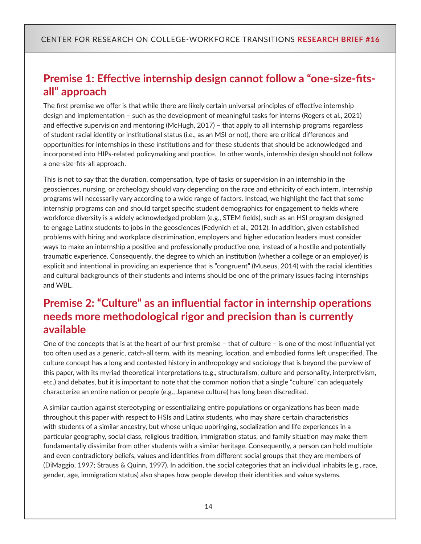# **Premise 1: Effective internship design cannot follow a "one-size-fitsall" approach**

The first premise we offer is that while there are likely certain universal principles of effective internship design and implementation – such as the development of meaningful tasks for interns (Rogers et al., 2021) and effective supervision and mentoring (McHugh, 2017) – that apply to all internship programs regardless of student racial identity or institutional status (i.e., as an MSI or not), there are critical differences and opportunities for internships in these institutions and for these students that should be acknowledged and incorporated into HIPs-related policymaking and practice. In other words, internship design should not follow a one-size-fits-all approach.

This is not to say that the duration, compensation, type of tasks or supervision in an internship in the geosciences, nursing, or archeology should vary depending on the race and ethnicity of each intern. Internship programs will necessarily vary according to a wide range of factors. Instead, we highlight the fact that some internship programs can and should target specific student demographics for engagement to fields where workforce diversity is a widely acknowledged problem (e.g., STEM fields), such as an HSI program designed to engage Latinx students to jobs in the geosciences (Fedynich et al., 2012). In addition, given established problems with hiring and workplace discrimination, employers and higher education leaders must consider ways to make an internship a positive and professionally productive one, instead of a hostile and potentially traumatic experience. Consequently, the degree to which an institution (whether a college or an employer) is explicit and intentional in providing an experience that is "congruent" (Museus, 2014) with the racial identities and cultural backgrounds of their students and interns should be one of the primary issues facing internships and WBL.

# **Premise 2: "Culture" as an influential factor in internship operations needs more methodological rigor and precision than is currently available**

One of the concepts that is at the heart of our first premise – that of culture – is one of the most influential yet too often used as a generic, catch-all term, with its meaning, location, and embodied forms left unspecified. The culture concept has a long and contested history in anthropology and sociology that is beyond the purview of this paper, with its myriad theoretical interpretations (e.g., structuralism, culture and personality, interpretivism, etc.) and debates, but it is important to note that the common notion that a single "culture" can adequately characterize an entire nation or people (e.g., Japanese culture) has long been discredited.

A similar caution against stereotyping or essentializing entire populations or organizations has been made throughout this paper with respect to HSIs and Latinx students, who may share certain characteristics with students of a similar ancestry, but whose unique upbringing, socialization and life experiences in a particular geography, social class, religious tradition, immigration status, and family situation may make them fundamentally dissimilar from other students with a similar heritage. Consequently, a person can hold multiple and even contradictory beliefs, values and identities from different social groups that they are members of (DiMaggio, 1997; Strauss & Quinn, 1997). In addition, the social categories that an individual inhabits (e.g., race, gender, age, immigration status) also shapes how people develop their identities and value systems.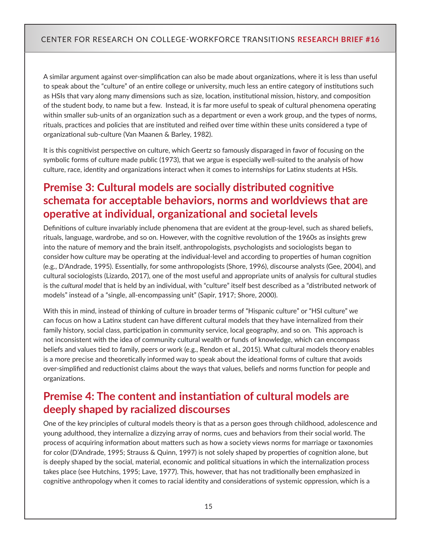A similar argument against over-simplification can also be made about organizations, where it is less than useful to speak about the "culture" of an entire college or university, much less an entire category of institutions such as HSIs that vary along many dimensions such as size, location, institutional mission, history, and composition of the student body, to name but a few. Instead, it is far more useful to speak of cultural phenomena operating within smaller sub-units of an organization such as a department or even a work group, and the types of norms, rituals, practices and policies that are instituted and reified over time within these units considered a type of organizational sub-culture (Van Maanen & Barley, 1982).

It is this cognitivist perspective on culture, which Geertz so famously disparaged in favor of focusing on the symbolic forms of culture made public (1973), that we argue is especially well-suited to the analysis of how culture, race, identity and organizations interact when it comes to internships for Latinx students at HSIs.

# **Premise 3: Cultural models are socially distributed cognitive schemata for acceptable behaviors, norms and worldviews that are operative at individual, organizational and societal levels**

Definitions of culture invariably include phenomena that are evident at the group-level, such as shared beliefs, rituals, language, wardrobe, and so on. However, with the cognitive revolution of the 1960s as insights grew into the nature of memory and the brain itself, anthropologists, psychologists and sociologists began to consider how culture may be operating at the individual-level and according to properties of human cognition (e.g., D'Andrade, 1995). Essentially, for some anthropologists (Shore, 1996), discourse analysts (Gee, 2004), and cultural sociologists (Lizardo, 2017), one of the most useful and appropriate units of analysis for cultural studies is the *cultural model* that is held by an individual, with "culture" itself best described as a "distributed network of models" instead of a "single, all-encompassing unit" (Sapir, 1917; Shore, 2000).

With this in mind, instead of thinking of culture in broader terms of "Hispanic culture" or "HSI culture" we can focus on how a Latinx student can have different cultural models that they have internalized from their family history, social class, participation in community service, local geography, and so on. This approach is not inconsistent with the idea of community cultural wealth or funds of knowledge, which can encompass beliefs and values tied to family, peers or work (e.g., Rendon et al., 2015). What cultural models theory enables is a more precise and theoretically informed way to speak about the ideational forms of culture that avoids over-simplified and reductionist claims about the ways that values, beliefs and norms function for people and organizations.

# **Premise 4: The content and instantiation of cultural models are deeply shaped by racialized discourses**

One of the key principles of cultural models theory is that as a person goes through childhood, adolescence and young adulthood, they internalize a dizzying array of norms, cues and behaviors from their social world. The process of acquiring information about matters such as how a society views norms for marriage or taxonomies for color (D'Andrade, 1995; Strauss & Quinn, 1997) is not solely shaped by properties of cognition alone, but is deeply shaped by the social, material, economic and political situations in which the internalization process takes place (see Hutchins, 1995; Lave, 1977). This, however, that has not traditionally been emphasized in cognitive anthropology when it comes to racial identity and considerations of systemic oppression, which is a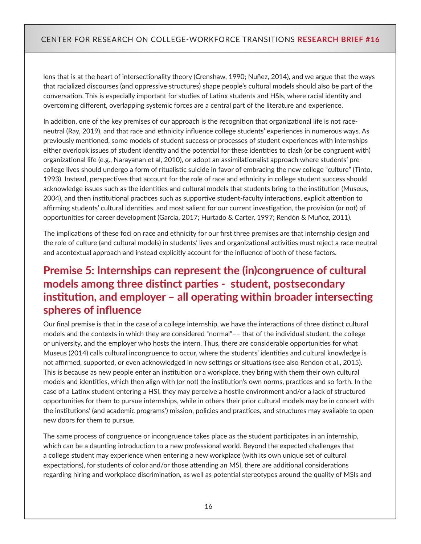lens that is at the heart of intersectionality theory (Crenshaw, 1990; Nuñez, 2014), and we argue that the ways that racialized discourses (and oppressive structures) shape people's cultural models should also be part of the conversation. This is especially important for studies of Latinx students and HSIs, where racial identity and overcoming different, overlapping systemic forces are a central part of the literature and experience.

In addition, one of the key premises of our approach is the recognition that organizational life is not raceneutral (Ray, 2019), and that race and ethnicity influence college students' experiences in numerous ways. As previously mentioned, some models of student success or processes of student experiences with internships either overlook issues of student identity and the potential for these identities to clash (or be congruent with) organizational life (e.g., Narayanan et al, 2010), or adopt an assimilationalist approach where students' precollege lives should undergo a form of ritualistic suicide in favor of embracing the new college "culture" (Tinto, 1993). Instead, perspectives that account for the role of race and ethnicity in college student success should acknowledge issues such as the identities and cultural models that students bring to the institution (Museus, 2004), and then institutional practices such as supportive student-faculty interactions, explicit attention to affirming students' cultural identities, and most salient for our current investigation, the provision (or not) of opportunities for career development (Garcia, 2017; Hurtado & Carter, 1997; Rendón & Muñoz, 2011).

The implications of these foci on race and ethnicity for our first three premises are that internship design and the role of culture (and cultural models) in students' lives and organizational activities must reject a race-neutral and acontextual approach and instead explicitly account for the influence of both of these factors.

# **Premise 5: Internships can represent the (in)congruence of cultural models among three distinct parties - student, postsecondary institution, and employer – all operating within broader intersecting spheres of influence**

Our final premise is that in the case of a college internship, we have the interactions of three distinct cultural models and the contexts in which they are considered "normal"–– that of the individual student, the college or university, and the employer who hosts the intern. Thus, there are considerable opportunities for what Museus (2014) calls cultural incongruence to occur, where the students' identities and cultural knowledge is not affirmed, supported, or even acknowledged in new settings or situations (see also Rendon et al., 2015). This is because as new people enter an institution or a workplace, they bring with them their own cultural models and identities, which then align with (or not) the institution's own norms, practices and so forth. In the case of a Latinx student entering a HSI, they may perceive a hostile environment and/or a lack of structured opportunities for them to pursue internships, while in others their prior cultural models may be in concert with the institutions' (and academic programs') mission, policies and practices, and structures may available to open new doors for them to pursue.

The same process of congruence or incongruence takes place as the student participates in an internship, which can be a daunting introduction to a new professional world. Beyond the expected challenges that a college student may experience when entering a new workplace (with its own unique set of cultural expectations), for students of color and/or those attending an MSI, there are additional considerations regarding hiring and workplace discrimination, as well as potential stereotypes around the quality of MSIs and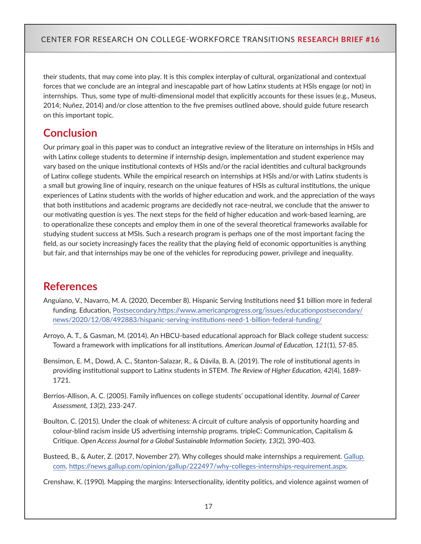their students, that may come into play. It is this complex interplay of cultural, organizational and contextual forces that we conclude are an integral and inescapable part of how Latinx students at HSIs engage (or not) in internships. Thus, some type of multi-dimensional model that explicitly accounts for these issues (e.g., Museus, 2014; Nuñez, 2014) and/or close attention to the five premises outlined above, should guide future research on this important topic.

# **Conclusion**

Our primary goal in this paper was to conduct an integrative review of the literature on internships in HSIs and with Latinx college students to determine if internship design, implementation and student experience may vary based on the unique institutional contexts of HSIs and/or the racial identities and cultural backgrounds of Latinx college students. While the empirical research on internships at HSIs and/or with Latinx students is a small but growing line of inquiry, research on the unique features of HSIs as cultural institutions, the unique experiences of Latinx students with the worlds of higher education and work, and the appreciation of the ways that both institutions and academic programs are decidedly not race-neutral, we conclude that the answer to our motivating question is yes. The next steps for the field of higher education and work-based learning, are to operationalize these concepts and employ them in one of the several theoretical frameworks available for studying student success at MSIs. Such a research program is perhaps one of the most important facing the field, as our society increasingly faces the reality that the playing field of economic opportunities is anything but fair, and that internships may be one of the vehicles for reproducing power, privilege and inequality.

# **References**

- Anguiano, V., Navarro, M. A. (2020, December 8). Hispanic Serving Institutions need \$1 billion more in federal funding. Education, [Postsecondary.https://www.americanprogress.org/issues/educationpostsecondary/](Postsecondary.https://www.americanprogress.org/issues/educationpostsecondary/news/2020/12/08/492883/hispanic-serving-institutions-need-1-billion-federal-funding/) [news/2020/12/08/492883/hispanic-serving-institutions-need-1-billion-federal-funding/](Postsecondary.https://www.americanprogress.org/issues/educationpostsecondary/news/2020/12/08/492883/hispanic-serving-institutions-need-1-billion-federal-funding/)
- Arroyo, A. T., & Gasman, M. (2014). An HBCU-based educational approach for Black college student success: Toward a framework with implications for all institutions. *American Journal of Education, 121*(1), 57-85.
- Bensimon, E. M., Dowd, A. C., Stanton-Salazar, R., & Dávila, B. A. (2019). The role of institutional agents in providing institutional support to Latinx students in STEM. *The Review of Higher Education, 42*(4), 1689- 1721.
- Berríos-Allison, A. C. (2005). Family influences on college students' occupational identity. *Journal of Career Assessment, 13*(2), 233-247.
- Boulton, C. (2015). Under the cloak of whiteness: A circuit of culture analysis of opportunity hoarding and colour-blind racism inside US advertising internship programs. tripleC: Communication, Capitalism & Critique. *Open Access Journal for a Global Sustainable Information Society, 13*(2), 390-403.
- Busteed, B., & Auter, Z. (2017, November 27). Why colleges should make internships a requirement. [Gallup.](http://Gallup.com) [com](http://Gallup.com). <https://news.gallup.com/opinion/gallup/222497/why-colleges-internships-requirement.aspx>.

Crenshaw, K. (1990). Mapping the margins: Intersectionality, identity politics, and violence against women of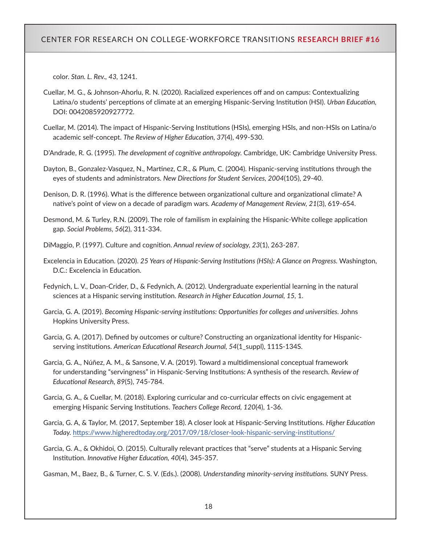color. *Stan. L. Rev., 43,* 1241.

- Cuellar, M. G., & Johnson-Ahorlu, R. N. (2020). Racialized experiences off and on campus: Contextualizing Latina/o students' perceptions of climate at an emerging Hispanic-Serving Institution (HSI). *Urban Education,*  DOI: 0042085920927772.
- Cuellar, M. (2014). The impact of Hispanic-Serving Institutions (HSIs), emerging HSIs, and non-HSIs on Latina/o academic self-concept. *The Review of Higher Education, 37*(4), 499-530.
- D'Andrade, R. G. (1995). *The development of cognitive anthropology.* Cambridge, UK: Cambridge University Press.
- Dayton, B., Gonzalez‐Vasquez, N., Martinez, C.R., & Plum, C. (2004). Hispanic‐serving institutions through the eyes of students and administrators. *New Directions for Student Services, 2004*(105), 29-40.
- Denison, D. R. (1996). What is the difference between organizational culture and organizational climate? A native's point of view on a decade of paradigm wars. *Academy of Management Review, 21*(3), 619-654.
- Desmond, M. & Turley, R.N. (2009). The role of familism in explaining the Hispanic-White college application gap. *Social Problems, 56*(2), 311-334.
- DiMaggio, P. (1997). Culture and cognition. *Annual review of sociology, 23*(1), 263-287.
- Excelencia in Education. (2020). *25 Years of Hispanic-Serving Institutions (HSIs): A Glance on Progress.* Washington, D.C.: Excelencia in Education.
- Fedynich, L. V., Doan-Crider, D., & Fedynich, A. (2012). Undergraduate experiential learning in the natural sciences at a Hispanic serving institution. *Research in Higher Education Journal, 15,* 1.
- Garcia, G. A. (2019). *Becoming Hispanic-serving institutions: Opportunities for colleges and universities.* Johns Hopkins University Press.
- Garcia, G. A. (2017). Defined by outcomes or culture? Constructing an organizational identity for Hispanicserving institutions. *American Educational Research Journal, 54*(1\_suppl), 111S-134S.
- Garcia, G. A., Núñez, A. M., & Sansone, V. A. (2019). Toward a multidimensional conceptual framework for understanding "servingness" in Hispanic-Serving Institutions: A synthesis of the research. *Review of Educational Research, 89*(5), 745-784.
- Garcia, G. A., & Cuellar, M. (2018). Exploring curricular and co-curricular effects on civic engagement at emerging Hispanic Serving Institutions. *Teachers College Record, 120*(4), 1-36.
- Garcia, G. A, & Taylor, M. (2017, September 18). A closer look at Hispanic-Serving Institutions. *Higher Education Today.* <https://www.higheredtoday.org/2017/09/18/closer-look-hispanic-serving-institutions/>
- Garcia, G. A., & Okhidoi, O. (2015). Culturally relevant practices that "serve" students at a Hispanic Serving Institution. *Innovative Higher Education, 40*(4), 345-357.

Gasman, M., Baez, B., & Turner, C. S. V. (Eds.). (2008). *Understanding minority-serving institutions.* SUNY Press.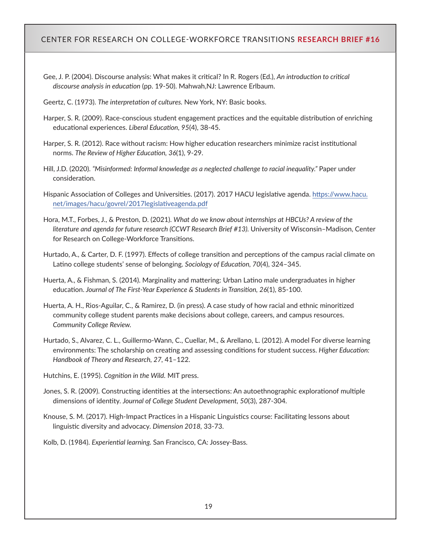- Gee, J. P. (2004). Discourse analysis: What makes it critical? In R. Rogers (Ed.), *An introduction to critical discourse analysis in education* (pp. 19-50). Mahwah,NJ: Lawrence Erlbaum.
- Geertz, C. (1973). *The interpretation of cultures.* New York, NY: Basic books.
- Harper, S. R. (2009). Race-conscious student engagement practices and the equitable distribution of enriching educational experiences. *Liberal Education, 95*(4), 38-45.
- Harper, S. R. (2012). Race without racism: How higher education researchers minimize racist institutional norms. *The Review of Higher Education, 36*(1), 9-29.
- Hill, J.D. (2020). *"Misinformed: Informal knowledge as a neglected challenge to racial inequality."* Paper under consideration.
- Hispanic Association of Colleges and Universities. (2017). 2017 HACU legislative agenda. [https://www.hacu.](https://www.hacu.net/images/hacu/govrel/2017legislativeagenda.pdf) [net/images/hacu/govrel/2017legislativeagenda.pdf](https://www.hacu.net/images/hacu/govrel/2017legislativeagenda.pdf)
- Hora, M.T., Forbes, J., & Preston, D. (2021). *What do we know about internships at HBCUs? A review of the literature and agenda for future research (CCWT Research Brief #13).* University of Wisconsin–Madison, Center for Research on College-Workforce Transitions.
- Hurtado, A., & Carter, D. F. (1997). Effects of college transition and perceptions of the campus racial climate on Latino college students' sense of belonging. *Sociology of Education, 70*(4), 324–345.
- Huerta, A., & Fishman, S. (2014). Marginality and mattering: Urban Latino male undergraduates in higher education. *Journal of The First-Year Experience & Students in Transition, 26*(1), 85-100.
- Huerta, A. H., Rios-Aguilar, C., & Ramirez, D. (in press). A case study of how racial and ethnic minoritized community college student parents make decisions about college, careers, and campus resources. *Community College Review.*
- Hurtado, S., Alvarez, C. L., Guillermo-Wann, C., Cuellar, M., & Arellano, L. (2012). A model For diverse learning environments: The scholarship on creating and assessing conditions for student success. *Higher Education: Handbook of Theory and Research, 27,* 41–122.
- Hutchins, E. (1995). *Cognition in the Wild.* MIT press.
- Jones, S. R. (2009). Constructing identities at the intersections: An autoethnographic explorationof multiple dimensions of identity. *Journal of College Student Development, 50*(3), 287-304.
- Knouse, S. M. (2017). High-Impact Practices in a Hispanic Linguistics course: Facilitating lessons about linguistic diversity and advocacy. *Dimension 2018,* 33-73.
- Kolb, D. (1984). *Experiential learning.* San Francisco, CA: Jossey-Bass.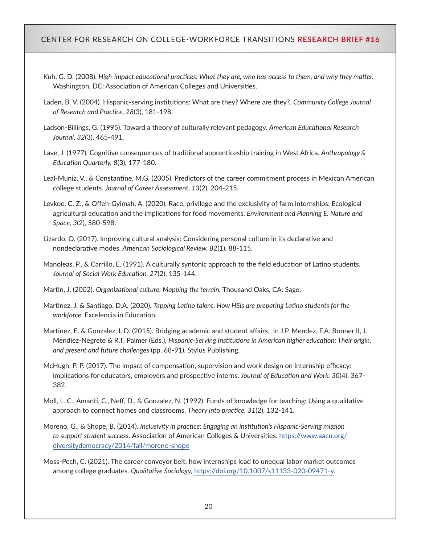- Kuh, G. D. (2008). *High-impact educational practices: What they are, who has access to them, and why they matter.* Washington, DC: Association of American Colleges and Universities.
- Laden, B. V. (2004). Hispanic-serving institutions: What are they? Where are they?. *Community College Journal of Research and Practice, 28*(3), 181-198.
- Ladson-Billings, G. (1995). Toward a theory of culturally relevant pedagogy. *American Educational Research Journal, 32*(3), 465-491.
- Lave, J. (1977). Cognitive consequences of traditional apprenticeship training in West Africa. *Anthropology & Education Quarterly, 8*(3), 177-180.
- Leal-Muniz, V., & Constantine, M.G. (2005). Predictors of the career commitment process in Mexican American college students. *Journal of Career Assessment, 13*(2), 204-215.
- Levkoe, C. Z., & Offeh-Gyimah, A. (2020). Race, privilege and the exclusivity of farm internships: Ecological agricultural education and the implications for food movements. *Environment and Planning E: Nature and Space, 3*(2), 580-598.
- Lizardo, O. (2017). Improving cultural analysis: Considering personal culture in its declarative and nondeclarative modes. *American Sociological Review, 82*(1), 88-115.
- Manoleas, P., & Carrillo, E. (1991). A culturally syntonic approach to the field education of Latino students. *Journal of Social Work Education, 27*(2), 135-144.
- Martin, J. (2002). *Organizational culture: Mapping the terrain.* Thousand Oaks, CA: Sage.
- Martinez, J. & Santiago, D.A. (2020). *Tapping Latino talent: How HSIs are preparing Latino students for the workforce.* Excelencia in Education.
- Martinez, E. & Gonzalez, L.D. (2015). Bridging academic and student affairs. In J.P. Mendez, F.A. Bonner II, J. Mendiez-Negrete & R.T. Palmer (Eds.), *Hispanic-Serving Institutions in American higher education: Their origin, and present and future challenges* (pp. 68-91). Stylus Publishing.
- McHugh, P. P. (2017). The impact of compensation, supervision and work design on internship efficacy: implications for educators, employers and prospective interns. *Journal of Education and Work, 30*(4), 367- 382.
- Moll, L. C., Amanti, C., Neff, D., & Gonzalez, N. (1992). Funds of knowledge for teaching: Using a qualitative approach to connect homes and classrooms. *Theory into practice, 31*(2), 132-141.
- Moreno, G., & Shope, B. (2014). *Inclusivity in practice: Engaging an institution's Hispanic-Serving mission to support student success.* Association of American Colleges & Universities. [https://www.aacu.org/](https://www.aacu.org/diversitydemocracy/2014/fall/moreno-shope) [diversitydemocracy/2014/fall/moreno-shope](https://www.aacu.org/diversitydemocracy/2014/fall/moreno-shope)
- Moss-Pech, C. (2021). The career conveyor belt: how internships lead to unequal labor market outcomes among college graduates. *Qualitative Sociology,* <https://doi.org/10.1007/s11133-020-09471-y>.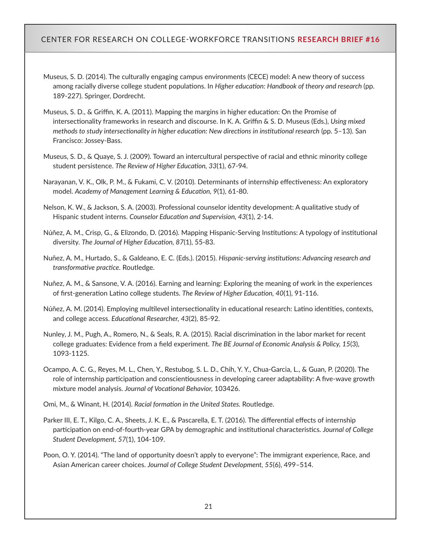- Museus, S. D. (2014). The culturally engaging campus environments (CECE) model: A new theory of success among racially diverse college student populations. In *Higher education: Handbook of theory and research* (pp. 189-227). Springer, Dordrecht.
- Museus, S. D., & Griffin, K. A. (2011). Mapping the margins in higher education: On the Promise of intersectionality frameworks in research and discourse. In K. A. Griffin & S. D. Museus (Eds.), *Using mixed methods to study intersectionality in higher education: New directions in institutional research* (pp. 5–13). San Francisco: Jossey-Bass.
- Museus, S. D., & Quaye, S. J. (2009). Toward an intercultural perspective of racial and ethnic minority college student persistence. *The Review of Higher Education, 33*(1), 67-94.
- Narayanan, V. K., Olk, P. M., & Fukami, C. V. (2010). Determinants of internship effectiveness: An exploratory model. *Academy of Management Learning & Education, 9*(1), 61-80.
- Nelson, K. W., & Jackson, S. A. (2003). Professional counselor identity development: A qualitative study of Hispanic student interns. *Counselor Education and Supervision, 43*(1), 2-14.
- Núñez, A. M., Crisp, G., & Elizondo, D. (2016). Mapping Hispanic-Serving Institutions: A typology of institutional diversity. *The Journal of Higher Education, 87*(1), 55-83.
- Nuñez, A. M., Hurtado, S., & Galdeano, E. C. (Eds.). (2015). *Hispanic-serving institutions: Advancing research and transformative practice.* Routledge.
- Nuñez, A. M., & Sansone, V. A. (2016). Earning and learning: Exploring the meaning of work in the experiences of first-generation Latino college students. *The Review of Higher Education, 40*(1), 91-116.
- Núñez, A. M. (2014). Employing multilevel intersectionality in educational research: Latino identities, contexts, and college access. *Educational Researcher, 43*(2), 85-92.
- Nunley, J. M., Pugh, A., Romero, N., & Seals, R. A. (2015). Racial discrimination in the labor market for recent college graduates: Evidence from a field experiment. *The BE Journal of Economic Analysis & Policy, 15*(3), 1093-1125.
- Ocampo, A. C. G., Reyes, M. L., Chen, Y., Restubog, S. L. D., Chih, Y. Y., Chua-Garcia, L., & Guan, P. (2020). The role of internship participation and conscientiousness in developing career adaptability: A five-wave growth mixture model analysis. *Journal of Vocational Behavior,* 103426.

Omi, M., & Winant, H. (2014). *Racial formation in the United States.* Routledge.

- Parker III, E. T., Kilgo, C. A., Sheets, J. K. E., & Pascarella, E. T. (2016). The differential effects of internship participation on end-of-fourth-year GPA by demographic and institutional characteristics. *Journal of College Student Development, 57*(1), 104-109.
- Poon, O. Y. (2014). "The land of opportunity doesn't apply to everyone": The immigrant experience, Race, and Asian American career choices. *Journal of College Student Development, 55*(6), 499–514.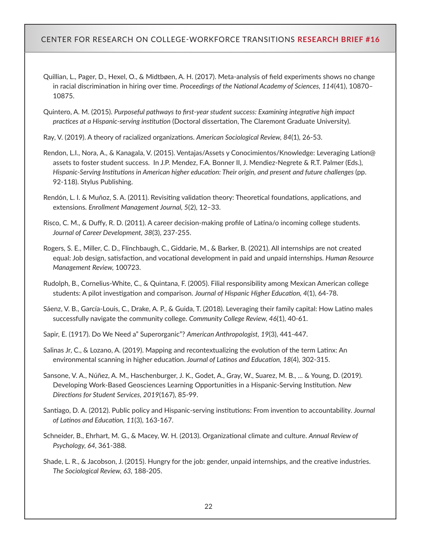- Quillian, L., Pager, D., Hexel, O., & Midtbøen, A. H. (2017). Meta-analysis of field experiments shows no change in racial discrimination in hiring over time. *Proceedings of the National Academy of Sciences, 114*(41), 10870– 10875.
- Quintero, A. M. (2015). *Purposeful pathways to first-year student success: Examining integrative high impact practices at a Hispanic-serving institution* (Doctoral dissertation, The Claremont Graduate University).

Ray, V. (2019). A theory of racialized organizations. *American Sociological Review, 84*(1), 26-53.

- Rendon, L.I., Nora, A., & Kanagala, V. (2015). Ventajas/Assets y Conocimientos/Knowledge: Leveraging Lation@ assets to foster student success. In J.P. Mendez, F.A. Bonner II, J. Mendiez-Negrete & R.T. Palmer (Eds.), *Hispanic-Serving Institutions in American higher education: Their origin, and present and future challenges* (pp. 92-118). Stylus Publishing.
- Rendón, L. I. & Muñoz, S. A. (2011). Revisiting validation theory: Theoretical foundations, applications, and extensions. *Enrollment Management Journal, 5*(2), 12–33.
- Risco, C. M., & Duffy, R. D. (2011). A career decision-making profile of Latina/o incoming college students. *Journal of Career Development, 38*(3), 237-255.
- Rogers, S. E., Miller, C. D., Flinchbaugh, C., Giddarie, M., & Barker, B. (2021). All internships are not created equal: Job design, satisfaction, and vocational development in paid and unpaid internships. *Human Resource Management Review,* 100723.
- Rudolph, B., Cornelius-White, C., & Quintana, F. (2005). Filial responsibility among Mexican American college students: A pilot investigation and comparison. *Journal of Hispanic Higher Education, 4*(1), 64-78.
- Sáenz, V. B., García-Louis, C., Drake, A. P., & Guida, T. (2018). Leveraging their family capital: How Latino males successfully navigate the community college. *Community College Review, 46*(1), 40-61.
- Sapir, E. (1917). Do We Need a" Superorganic"? *American Anthropologist, 19*(3), 441-447.
- Salinas Jr, C., & Lozano, A. (2019). Mapping and recontextualizing the evolution of the term Latinx: An environmental scanning in higher education. *Journal of Latinos and Education, 18*(4), 302-315.
- Sansone, V. A., Núñez, A. M., Haschenburger, J. K., Godet, A., Gray, W., Suarez, M. B., ... & Young, D. (2019). Developing Work‐Based Geosciences Learning Opportunities in a Hispanic‐Serving Institution. *New Directions for Student Services, 2019*(167), 85-99.
- Santiago, D. A. (2012). Public policy and Hispanic-serving institutions: From invention to accountability. *Journal of Latinos and Education, 11*(3), 163-167.
- Schneider, B., Ehrhart, M. G., & Macey, W. H. (2013). Organizational climate and culture. *Annual Review of Psychology, 64,* 361-388.
- Shade, L. R., & Jacobson, J. (2015). Hungry for the job: gender, unpaid internships, and the creative industries. *The Sociological Review, 63,* 188-205.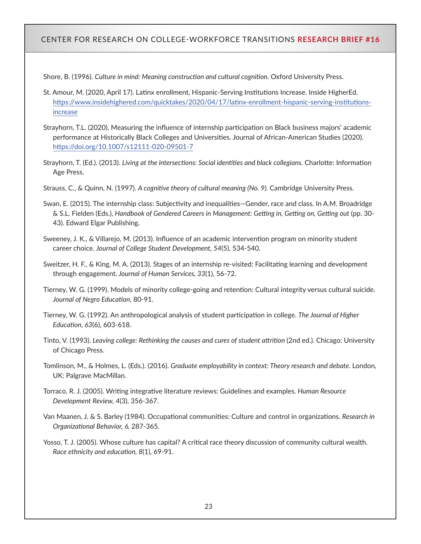Shore, B. (1996). *Culture in mind: Meaning construction and cultural cognition.* Oxford University Press.

- St. Amour, M. (2020, April 17). Latinx enrollment, Hispanic-Serving Institutions Increase. Inside HigherEd. [https://www.insidehighered.com/quicktakes/2020/04/17/latinx-enrollment-hispanic-serving-institutions](https://www.insidehighered.com/quicktakes/2020/04/17/latinx-enrollment-hispanic-serving-institutions-increase)[increase](https://www.insidehighered.com/quicktakes/2020/04/17/latinx-enrollment-hispanic-serving-institutions-increase)
- Strayhorn, T.L. (2020). Measuring the influence of internship participation on Black business majors' academic performance at Historically Black Colleges and Universities. Journal of African-American Studies (2020). <https://doi.org/10.1007/s12111-020-09501-7>
- Strayhorn, T. (Ed.). (2013). *Living at the intersections: Social identities and black collegians.* Charlotte: Information Age Press.
- Strauss, C., & Quinn, N. (1997). *A cognitive theory of cultural meaning (No. 9).* Cambridge University Press.
- Swan, E. (2015). The internship class: Subjectivity and inequalities—Gender, race and class. In A.M. Broadridge & S.L. Fielden (Eds.), *Handbook of Gendered Careers in Management: Getting in, Getting on, Getting out* (pp. 30- 43). Edward Elgar Publishing.
- Sweeney, J. K., & Villarejo, M. (2013). Influence of an academic intervention program on minority student career choice. *Journal of College Student Development, 54*(5), 534-540.
- Sweitzer, H. F., & King, M. A. (2013). Stages of an internship re-visited: Facilitating learning and development through engagement. *Journal of Human Services, 33*(1), 56-72.
- Tierney, W. G. (1999). Models of minority college-going and retention: Cultural integrity versus cultural suicide. *Journal of Negro Education,* 80-91.
- Tierney, W. G. (1992). An anthropological analysis of student participation in college. *The Journal of Higher Education, 63*(6), 603-618.
- Tinto, V. (1993). *Leaving college: Rethinking the causes and cures of student attrition* (2nd ed.). Chicago: University of Chicago Press.
- Tomlinson, M., & Holmes, L. (Eds.). (2016). *Graduate employability in context: Theory research and debate.* London, UK: Palgrave MacMillan.
- Torraco, R. J. (2005). Writing integrative literature reviews: Guidelines and examples. *Human Resource Development Review, 4*(3), 356-367.
- Van Maanen, J. & S. Barley (1984). Occupational communities: Culture and control in organizations. *Research in Organizational Behavior, 6,* 287-365.
- Yosso, T. J. (2005). Whose culture has capital? A critical race theory discussion of community cultural wealth. *Race ethnicity and education, 8*(1), 69-91.